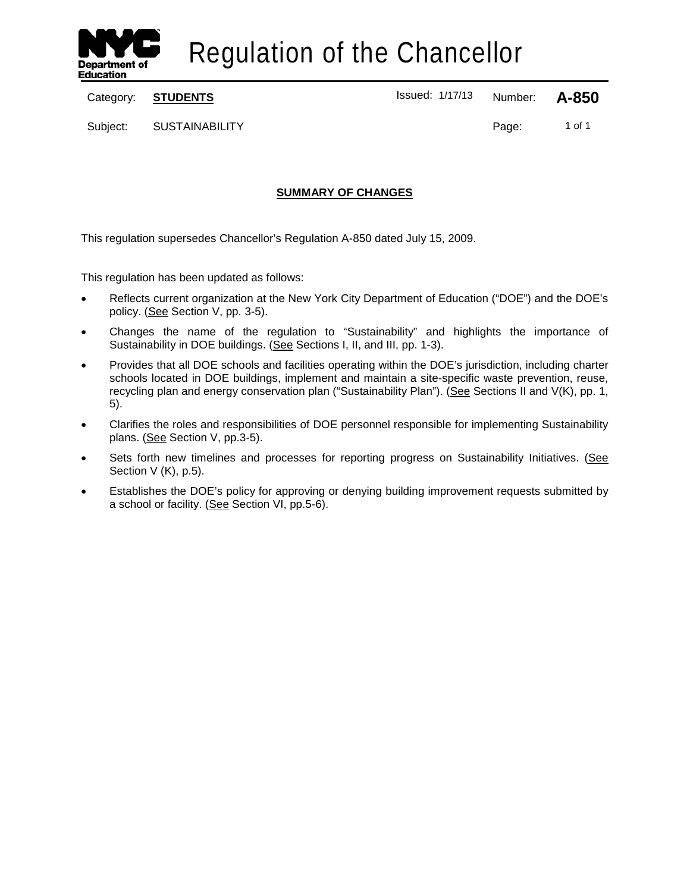

Regulation of the Chancellor

Category: **STUDENTS ISSUED 1/17/13** Number: **A-850** 

Subject: SUSTAINABILITY **Page:** 1 of 1

# **SUMMARY OF CHANGES**

This regulation supersedes Chancellor's Regulation A-850 dated July 15, 2009.

This regulation has been updated as follows:

- Reflects current organization at the New York City Department of Education ("DOE") and the DOE's policy. (See Section V, pp. 3-5).
- Changes the name of the regulation to "Sustainability" and highlights the importance of Sustainability in DOE buildings. (See Sections I, II, and III, pp. 1-3).
- Provides that all DOE schools and facilities operating within the DOE's jurisdiction, including charter schools located in DOE buildings, implement and maintain a site-specific waste prevention, reuse, recycling plan and energy conservation plan ("Sustainability Plan"). (See Sections II and V(K), pp. 1, 5).
- Clarifies the roles and responsibilities of DOE personnel responsible for implementing Sustainability plans. (See Section V, pp.3-5).
- Sets forth new timelines and processes for reporting progress on Sustainability Initiatives. (See Section V (K), p.5).
- Establishes the DOE's policy for approving or denying building improvement requests submitted by a school or facility. (See Section VI, pp.5-6).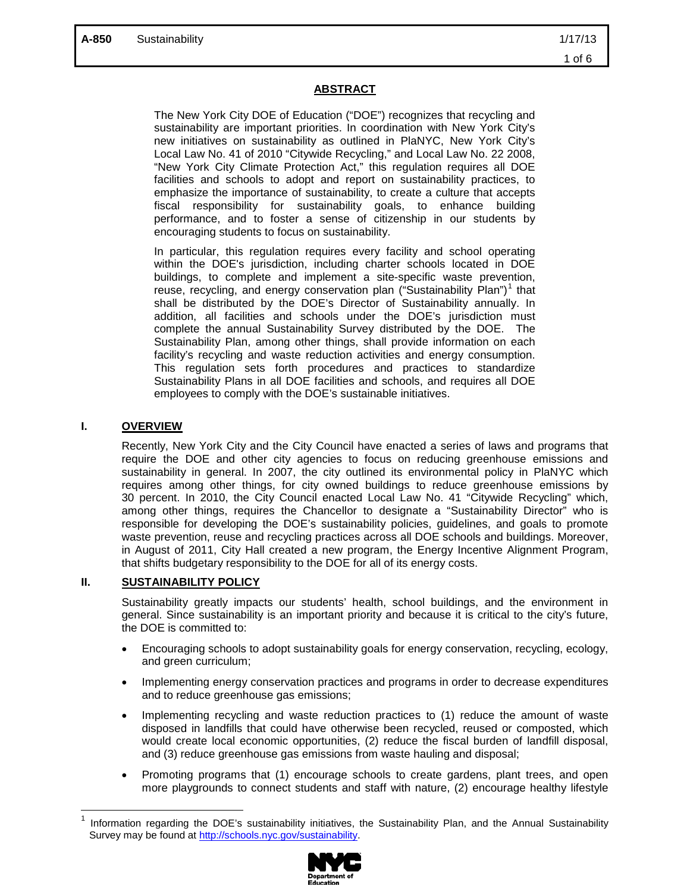# **ABSTRACT**

The New York City DOE of Education ("DOE") recognizes that recycling and sustainability are important priorities. In coordination with New York City's new initiatives on sustainability as outlined in PlaNYC, New York City's Local Law No. 41 of 2010 "Citywide Recycling," and Local Law No. 22 2008, "New York City Climate Protection Act," this regulation requires all DOE facilities and schools to adopt and report on sustainability practices, to emphasize the importance of sustainability, to create a culture that accepts fiscal responsibility for sustainability goals, to enhance building performance, and to foster a sense of citizenship in our students by encouraging students to focus on sustainability.

In particular, this regulation requires every facility and school operating within the DOE's jurisdiction, including charter schools located in DOE buildings, to complete and implement a site-specific waste prevention, reuse, recycling, and energy conservation plan ("Sustainability Plan")<sup>[1](#page-1-0)</sup> that shall be distributed by the DOE's Director of Sustainability annually. In addition, all facilities and schools under the DOE's jurisdiction must complete the annual Sustainability Survey distributed by the DOE. The Sustainability Plan, among other things, shall provide information on each facility's recycling and waste reduction activities and energy consumption. This regulation sets forth procedures and practices to standardize Sustainability Plans in all DOE facilities and schools, and requires all DOE employees to comply with the DOE's sustainable initiatives.

### **I. OVERVIEW**

<span id="page-1-0"></span>

Recently, New York City and the City Council have enacted a series of laws and programs that require the DOE and other city agencies to focus on reducing greenhouse emissions and sustainability in general. In 2007, the city outlined its environmental policy in PlaNYC which requires among other things, for city owned buildings to reduce greenhouse emissions by 30 percent. In 2010, the City Council enacted Local Law No. 41 "Citywide Recycling" which, among other things, requires the Chancellor to designate a "Sustainability Director" who is responsible for developing the DOE's sustainability policies, guidelines, and goals to promote waste prevention, reuse and recycling practices across all DOE schools and buildings. Moreover, in August of 2011, City Hall created a new program, the Energy Incentive Alignment Program, that shifts budgetary responsibility to the DOE for all of its energy costs.

## **II. SUSTAINABILITY POLICY**

Sustainability greatly impacts our students' health, school buildings, and the environment in general. Since sustainability is an important priority and because it is critical to the city's future, the DOE is committed to:

- Encouraging schools to adopt sustainability goals for energy conservation, recycling, ecology, and green curriculum;
- Implementing energy conservation practices and programs in order to decrease expenditures and to reduce greenhouse gas emissions;
- Implementing recycling and waste reduction practices to (1) reduce the amount of waste disposed in landfills that could have otherwise been recycled, reused or composted, which would create local economic opportunities, (2) reduce the fiscal burden of landfill disposal, and (3) reduce greenhouse gas emissions from waste hauling and disposal;
- Promoting programs that (1) encourage schools to create gardens, plant trees, and open more playgrounds to connect students and staff with nature, (2) encourage healthy lifestyle

<sup>1</sup> Information regarding the DOE's sustainability initiatives, the Sustainability Plan, and the Annual Sustainability Survey may be found at [http://schools.nyc.gov/sustainability.](http://schools.nyc.gov/sustainability) 

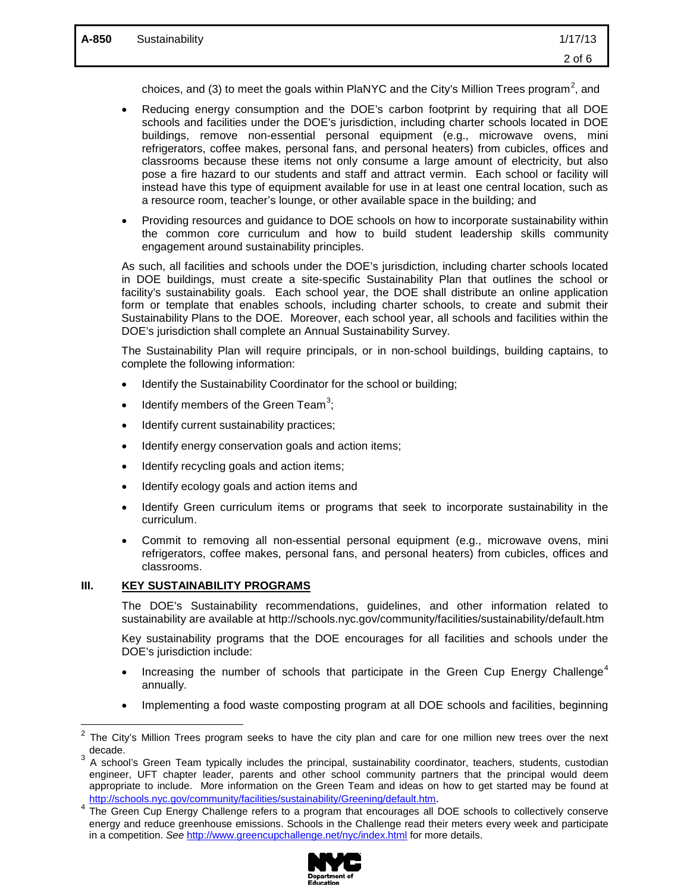choices, and (3) to meet the goals within PlaNYC and the City's Million Trees program<sup>[2](#page-2-0)</sup>, and

- Reducing energy consumption and the DOE's carbon footprint by requiring that all DOE schools and facilities under the DOE's jurisdiction, including charter schools located in DOE buildings, remove non-essential personal equipment (e.g., microwave ovens, mini refrigerators, coffee makes, personal fans, and personal heaters) from cubicles, offices and classrooms because these items not only consume a large amount of electricity, but also pose a fire hazard to our students and staff and attract vermin. Each school or facility will instead have this type of equipment available for use in at least one central location, such as a resource room, teacher's lounge, or other available space in the building; and
- Providing resources and guidance to DOE schools on how to incorporate sustainability within the common core curriculum and how to build student leadership skills community engagement around sustainability principles.

As such, all facilities and schools under the DOE's jurisdiction, including charter schools located in DOE buildings, must create a site-specific Sustainability Plan that outlines the school or facility's sustainability goals. Each school year, the DOE shall distribute an online application form or template that enables schools, including charter schools, to create and submit their Sustainability Plans to the DOE. Moreover, each school year, all schools and facilities within the DOE's jurisdiction shall complete an Annual Sustainability Survey.

The Sustainability Plan will require principals, or in non-school buildings, building captains, to complete the following information:

- Identify the Sustainability Coordinator for the school or building;
- $\bullet$  Identify members of the Green Team<sup>[3](#page-2-1)</sup>;
- Identify current sustainability practices;
- Identify energy conservation goals and action items;
- Identify recycling goals and action items;
- Identify ecology goals and action items and
- Identify Green curriculum items or programs that seek to incorporate sustainability in the curriculum.
- Commit to removing all non-essential personal equipment (e.g., microwave ovens, mini refrigerators, coffee makes, personal fans, and personal heaters) from cubicles, offices and classrooms.

### **III. KEY SUSTAINABILITY PROGRAMS**

 $\overline{a}$ 

The DOE's Sustainability recommendations, guidelines, and other information related to sustainability are available at http://schools.nyc.gov/community/facilities/sustainability/default.htm

Key sustainability programs that the DOE encourages for all facilities and schools under the DOE's jurisdiction include:

- Increasing the number of schools that participate in the Green Cup Energy Challenge<sup>[4](#page-2-2)</sup> annually.
- Implementing a food waste composting program at all DOE schools and facilities, beginning

<span id="page-2-2"></span>energy and reduce greenhouse emissions. Schools in the Challenge read their meters every week and participate in a competition. *See* <http://www.greencupchallenge.net/nyc/index.html> for more details.



<span id="page-2-0"></span>The City's Million Trees program seeks to have the city plan and care for one million new trees over the next  $\frac{1}{3}$  decade.

<span id="page-2-1"></span><sup>3</sup> A school's Green Team typically includes the principal, sustainability coordinator, teachers, students, custodian engineer, UFT chapter leader, parents and other school community partners that the principal would deem appropriate to include. More information on the Green Team and ideas on how to get started may be found at [http://schools.nyc.gov/community/facilities/sustainability/Greening/default.htm.](http://schools.nyc.gov/community/facilities/sustainability/Greening/default.htm)<br>The Green Cup Energy Challenge refers to a program that encourages all DOE schools to collectively conserve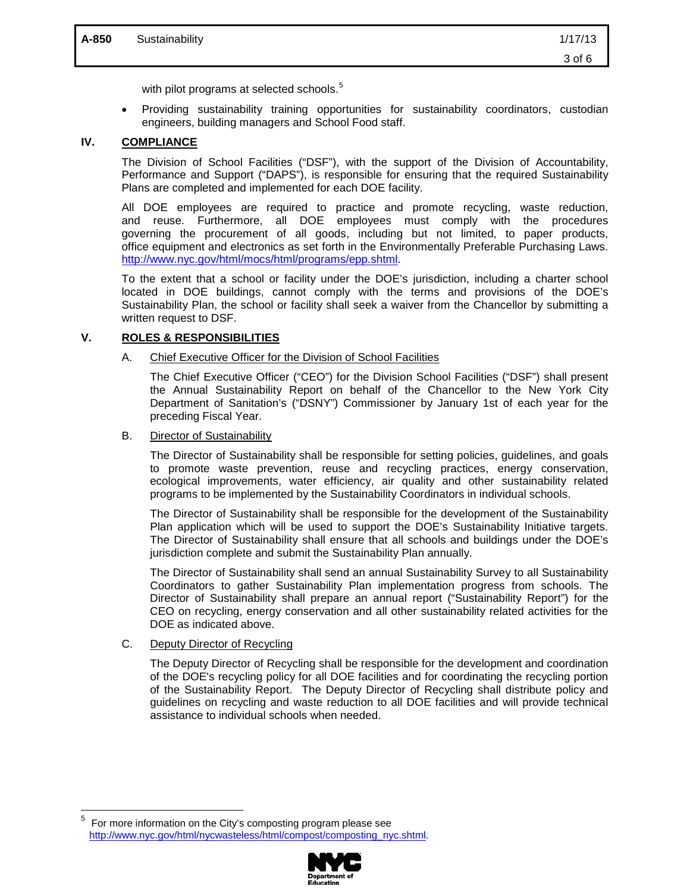with pilot programs at selected schools.<sup>[5](#page-3-0)</sup>

• Providing sustainability training opportunities for sustainability coordinators, custodian engineers, building managers and School Food staff.

# **IV. COMPLIANCE**

The Division of School Facilities ("DSF"), with the support of the Division of Accountability, Performance and Support ("DAPS"), is responsible for ensuring that the required Sustainability Plans are completed and implemented for each DOE facility.

All DOE employees are required to practice and promote recycling, waste reduction, and reuse. Furthermore, all DOE employees must comply with the procedures governing the procurement of all goods, including but not limited, to paper products, office equipment and electronics as set forth in the Environmentally Preferable Purchasing Laws. [http://www.nyc.gov/html/mocs/html/programs/epp.shtml.](http://www.nyc.gov/html/mocs/html/programs/epp.shtml)

To the extent that a school or facility under the DOE's jurisdiction, including a charter school located in DOE buildings, cannot comply with the terms and provisions of the DOE's Sustainability Plan, the school or facility shall seek a waiver from the Chancellor by submitting a written request to DSF.

#### **V. ROLES & RESPONSIBILITIES**

#### A. Chief Executive Officer for the Division of School Facilities

The Chief Executive Officer ("CEO") for the Division School Facilities ("DSF") shall present the Annual Sustainability Report on behalf of the Chancellor to the New York City Department of Sanitation's ("DSNY") Commissioner by January 1st of each year for the preceding Fiscal Year.

#### B. Director of Sustainability

The Director of Sustainability shall be responsible for setting policies, guidelines, and goals to promote waste prevention, reuse and recycling practices, energy conservation, ecological improvements, water efficiency, air quality and other sustainability related programs to be implemented by the Sustainability Coordinators in individual schools.

The Director of Sustainability shall be responsible for the development of the Sustainability Plan application which will be used to support the DOE's Sustainability Initiative targets. The Director of Sustainability shall ensure that all schools and buildings under the DOE's jurisdiction complete and submit the Sustainability Plan annually.

The Director of Sustainability shall send an annual Sustainability Survey to all Sustainability Coordinators to gather Sustainability Plan implementation progress from schools. The Director of Sustainability shall prepare an annual report ("Sustainability Report") for the CEO on recycling, energy conservation and all other sustainability related activities for the DOE as indicated above.

### C. Deputy Director of Recycling

The Deputy Director of Recycling shall be responsible for the development and coordination of the DOE's recycling policy for all DOE facilities and for coordinating the recycling portion of the Sustainability Report. The Deputy Director of Recycling shall distribute policy and guidelines on recycling and waste reduction to all DOE facilities and will provide technical assistance to individual schools when needed.

<span id="page-3-0"></span><sup>—&</sup>lt;br>5 For more information on the City's composting program please see [http://www.nyc.gov/html/nycwasteless/html/compost/composting\\_nyc.shtml.](http://www.nyc.gov/html/nycwasteless/html/compost/composting_nyc.shtml)

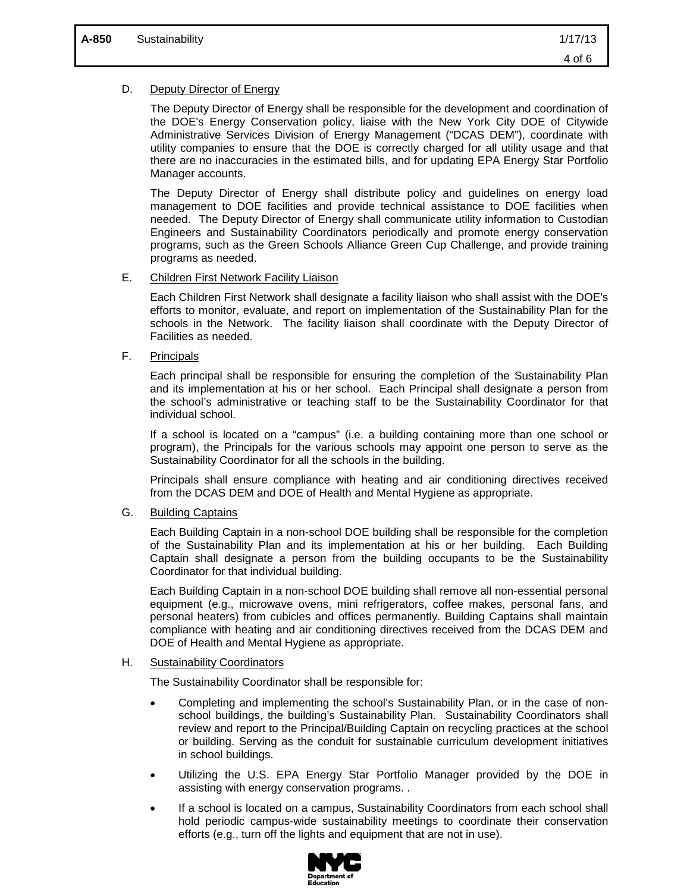### D. Deputy Director of Energy

The Deputy Director of Energy shall be responsible for the development and coordination of the DOE's Energy Conservation policy, liaise with the New York City DOE of Citywide Administrative Services Division of Energy Management ("DCAS DEM"), coordinate with utility companies to ensure that the DOE is correctly charged for all utility usage and that there are no inaccuracies in the estimated bills, and for updating EPA Energy Star Portfolio Manager accounts.

The Deputy Director of Energy shall distribute policy and guidelines on energy load management to DOE facilities and provide technical assistance to DOE facilities when needed. The Deputy Director of Energy shall communicate utility information to Custodian Engineers and Sustainability Coordinators periodically and promote energy conservation programs, such as the Green Schools Alliance Green Cup Challenge, and provide training programs as needed.

### E. Children First Network Facility Liaison

Each Children First Network shall designate a facility liaison who shall assist with the DOE's efforts to monitor, evaluate, and report on implementation of the Sustainability Plan for the schools in the Network. The facility liaison shall coordinate with the Deputy Director of Facilities as needed.

F. Principals

Each principal shall be responsible for ensuring the completion of the Sustainability Plan and its implementation at his or her school. Each Principal shall designate a person from the school's administrative or teaching staff to be the Sustainability Coordinator for that individual school.

If a school is located on a "campus" (i.e. a building containing more than one school or program), the Principals for the various schools may appoint one person to serve as the Sustainability Coordinator for all the schools in the building.

Principals shall ensure compliance with heating and air conditioning directives received from the DCAS DEM and DOE of Health and Mental Hygiene as appropriate.

G. Building Captains

Each Building Captain in a non-school DOE building shall be responsible for the completion of the Sustainability Plan and its implementation at his or her building. Each Building Captain shall designate a person from the building occupants to be the Sustainability Coordinator for that individual building.

Each Building Captain in a non-school DOE building shall remove all non-essential personal equipment (e.g., microwave ovens, mini refrigerators, coffee makes, personal fans, and personal heaters) from cubicles and offices permanently. Building Captains shall maintain compliance with heating and air conditioning directives received from the DCAS DEM and DOE of Health and Mental Hygiene as appropriate.

### H. Sustainability Coordinators

The Sustainability Coordinator shall be responsible for:

- Completing and implementing the school's Sustainability Plan, or in the case of nonschool buildings, the building's Sustainability Plan. Sustainability Coordinators shall review and report to the Principal/Building Captain on recycling practices at the school or building. Serving as the conduit for sustainable curriculum development initiatives in school buildings.
- Utilizing the U.S. EPA Energy Star Portfolio Manager provided by the DOE in assisting with energy conservation programs. .
- If a school is located on a campus, Sustainability Coordinators from each school shall hold periodic campus-wide sustainability meetings to coordinate their conservation efforts (e.g., turn off the lights and equipment that are not in use).

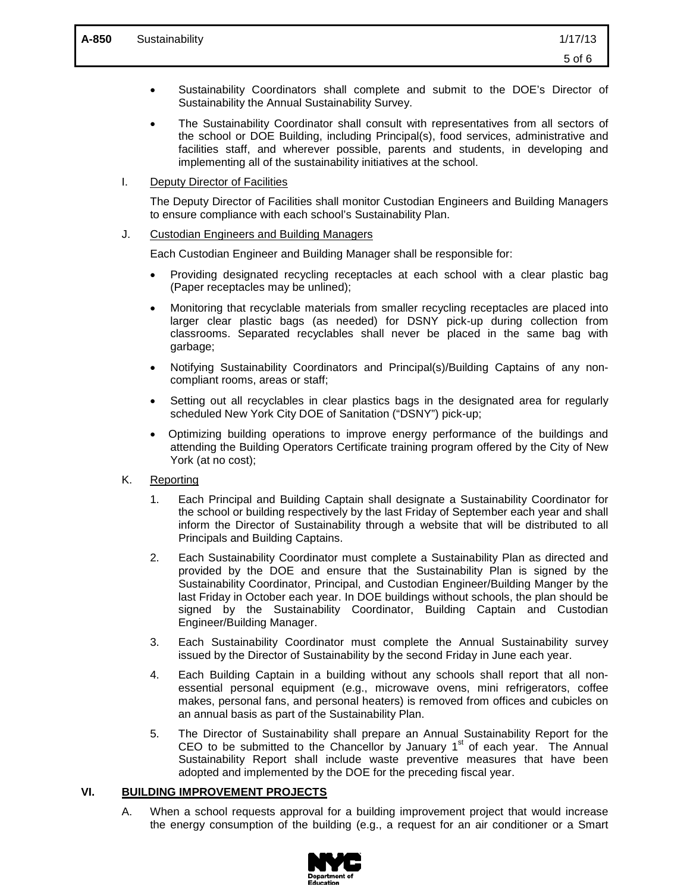- Sustainability Coordinators shall complete and submit to the DOE's Director of Sustainability the Annual Sustainability Survey.
- The Sustainability Coordinator shall consult with representatives from all sectors of the school or DOE Building, including Principal(s), food services, administrative and facilities staff, and wherever possible, parents and students, in developing and implementing all of the sustainability initiatives at the school.

### I. Deputy Director of Facilities

The Deputy Director of Facilities shall monitor Custodian Engineers and Building Managers to ensure compliance with each school's Sustainability Plan.

### J. Custodian Engineers and Building Managers

Each Custodian Engineer and Building Manager shall be responsible for:

- Providing designated recycling receptacles at each school with a clear plastic bag (Paper receptacles may be unlined);
- Monitoring that recyclable materials from smaller recycling receptacles are placed into larger clear plastic bags (as needed) for DSNY pick-up during collection from classrooms. Separated recyclables shall never be placed in the same bag with garbage;
- Notifying Sustainability Coordinators and Principal(s)/Building Captains of any noncompliant rooms, areas or staff;
- Setting out all recyclables in clear plastics bags in the designated area for regularly scheduled New York City DOE of Sanitation ("DSNY") pick-up;
- Optimizing building operations to improve energy performance of the buildings and attending the Building Operators Certificate training program offered by the City of New York (at no cost);

# K. Reporting

- 1. Each Principal and Building Captain shall designate a Sustainability Coordinator for the school or building respectively by the last Friday of September each year and shall inform the Director of Sustainability through a website that will be distributed to all Principals and Building Captains.
- 2. Each Sustainability Coordinator must complete a Sustainability Plan as directed and provided by the DOE and ensure that the Sustainability Plan is signed by the Sustainability Coordinator, Principal, and Custodian Engineer/Building Manger by the last Friday in October each year. In DOE buildings without schools, the plan should be signed by the Sustainability Coordinator, Building Captain and Custodian Engineer/Building Manager.
- 3. Each Sustainability Coordinator must complete the Annual Sustainability survey issued by the Director of Sustainability by the second Friday in June each year.
- 4. Each Building Captain in a building without any schools shall report that all nonessential personal equipment (e.g., microwave ovens, mini refrigerators, coffee makes, personal fans, and personal heaters) is removed from offices and cubicles on an annual basis as part of the Sustainability Plan.
- 5. The Director of Sustainability shall prepare an Annual Sustainability Report for the CEO to be submitted to the Chancellor by January  $1<sup>st</sup>$  of each year. The Annual Sustainability Report shall include waste preventive measures that have been adopted and implemented by the DOE for the preceding fiscal year.

### **VI. BUILDING IMPROVEMENT PROJECTS**

A. When a school requests approval for a building improvement project that would increase the energy consumption of the building (e.g., a request for an air conditioner or a Smart